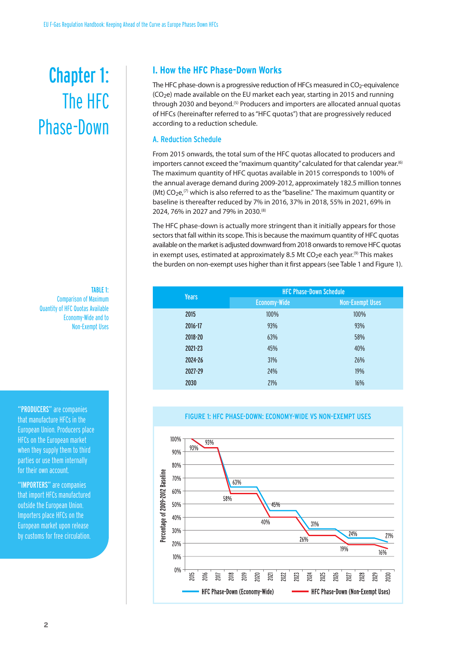# Chapter 1: The HFC Phase-Down

TABLE 1: Comparison of Maximum Quantity of HFC Quotas Available Economy-Wide and to Non-Exempt Uses

that manufacture HFCs in the EuropeanUnion. Producers place HFCs on the European market when they supply them to third parties or use them internally for their own account.

"IMPORTERS" are companies that import HFCs manufactured outside the European Union. Importers place HFCs on the European market upon release by customs for free circulation.

# **I. How the HFC Phase-Down Works**

The HFC phase-down is a progressive reduction of HFCs measured in CO<sub>2</sub>-equivalence  $(CO<sub>2</sub>e)$  made available on the EU market each year, starting in 2015 and running through 2030 and beyond.<sup>(5)</sup> Producers and importers are allocated annual quotas of HFCs (hereinafter referred to as"HFC quotas") that are progressively reduced according to a reduction schedule.

#### A. Reduction Schedule

From 2015 onwards, the total sum of the HFC quotas allocated to producers and importers cannot exceed the "maximum quantity" calculated for that calendar year.<sup>6)</sup> The maximum quantity of HFC quotas available in 2015 corresponds to 100% of the annual average demand during 2009-2012, approximately 182.5 million tonnes (Mt)  $CO<sub>2</sub>e<sub>1</sub>$ <sup>(7)</sup> which is also referred to as the "baseline." The maximum quantity or baseline is thereafter reduced by 7% in 2016, 37% in 2018, 55% in 2021, 69% in 2024, 76% in 2027 and 79% in 2030. (8)

The HFC phase-down is actually more stringent than it initially appears for those sectors that fall within its scope. This is because the maximum quantity of HFC quotas available on the market is adjusted downward from 2018 onwards to remove HFC quotas in exempt uses, estimated at approximately 8.5 Mt CO<sub>2</sub>e each year.<sup>(9)</sup> This makes the burden on non-exempt uses higher than it first appears(see Table 1 and Figure 1).

| <b>Years</b> | <b>HFC Phase-Down Schedule</b> |                        |  |
|--------------|--------------------------------|------------------------|--|
|              | <b>Economy-Wide</b>            | <b>Non-Exempt Uses</b> |  |
| 2015         | 100%                           | 100%                   |  |
| 2016-17      | 93%                            | 93%                    |  |
| 2018-20      | 63%                            | 58%                    |  |
| 2021-23      | 45%                            | 40%                    |  |
| 2024-26      | 31%                            | 26%                    |  |
| 2027-29      | 24%                            | 19%                    |  |
| 2030         | 21%                            | 16%                    |  |



# FIGURE 1: HFC PHASE-DOWN: ECONOMY-WIDE VS NON-EXEMPT USES "PRODUCERS"are companies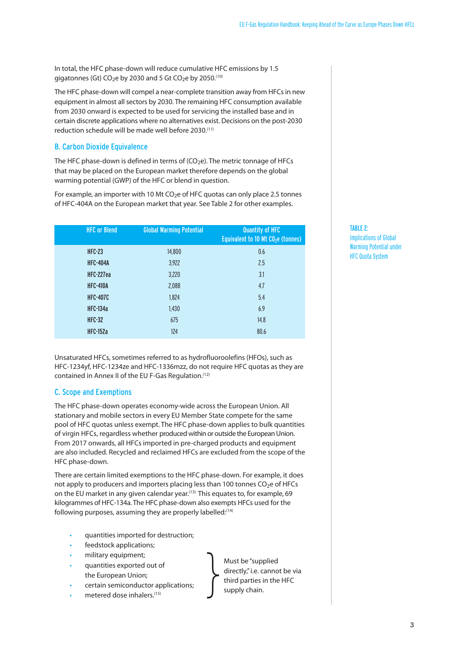In total, the HFC phase-down will reduce cumulative HFC emissions by 1.5 gigatonnes (Gt)  $CO<sub>2</sub>e$  by 2030 and 5 Gt  $CO<sub>2</sub>e$  by 2050.<sup>(10)</sup>

The HFC phase-down will compel a near-complete transition away from HFCs in new equipment in almost all sectors by 2030. The remaining HFC consumption available from 2030 onward is expected to be used for servicing the installed base and in certain discrete applications where no alternatives exist. Decisions on the post-2030 reduction schedule will be made well before 2030. (11)

# B. Carbon Dioxide Equivalence

The HFC phase-down is defined in terms of  $(CO<sub>2</sub>e)$ . The metric tonnage of HFCs that may be placed on the European market therefore depends on the global warming potential (GWP) of the HFC or blend in question.

For example, an importer with 10 Mt  $CO<sub>2</sub>e$  of HFC quotas can only place 2.5 tonnes of HFC-404A on the European market that year. See Table 2 for other examples.

| <b>HFC or Blend</b> | <b>Global Warming Potential</b> | <b>Quantity of HFC</b><br>Equivalent to 10 Mt CO <sub>2</sub> e (tonnes) |
|---------------------|---------------------------------|--------------------------------------------------------------------------|
| <b>HFC-23</b>       | 14,800                          | 0.6                                                                      |
| <b>HFC-404A</b>     | 3,922                           | 2.5                                                                      |
| HFC-227ea           | 3,220                           | 3.1                                                                      |
| <b>HFC-410A</b>     | 2,088                           | 4.7                                                                      |
| <b>HFC-407C</b>     | 1,824                           | 5.4                                                                      |
| <b>HFC-134a</b>     | 1,430                           | 6.9                                                                      |
| <b>HFC-32</b>       | 675                             | 14.8                                                                     |
| <b>HFC-152a</b>     | 124                             | 80.6                                                                     |

Unsaturated HFCs, sometimes referred to as hydrofluoroolefins (HFOs), such as HFC-1234yf, HFC-1234ze and HFC-1336mzz, do not require HFC quotas as they are contained in Annex II of the EU F-Gas Regulation. (12)

## C. Scope and Exemptions

The HFC phase-down operates economy-wide across the European Union. All stationary and mobile sectors in every EU Member State compete for the same pool of HFC quotas unless exempt. The HFC phase-down applies to bulk quantities of virgin HFCs, regardless whether produced within or outside the European Union. From 2017 onwards, all HFCs imported in pre-charged products and equipment are also included. Recycled and reclaimed HFCs are excluded from the scope of the HFC phase-down.

There are certain limited exemptions to the HFC phase-down. For example, it does not apply to producers and importers placing less than 100 tonnes  $CO<sub>2</sub>e$  of HFCs on the EU market in any given calendar year.<sup>(13)</sup> This equates to, for example, 69 kilogrammes of HFC-134a. The HFC phase-down also exempts HFCs used for the following purposes, assuming they are properly labelled:<sup>(14)</sup>

- quantities imported for destruction;
- feedstock applications;
- military equipment;
- quantities exported out of the European Union;
- certain semiconductor ap  $\left\{\begin{array}{c}\n\text{plications:}\n\end{array}\right\}$
- metered dose inhalers.<sup>(15)</sup>

Must be "supplied directly,"i.e. cannot be via third parties in the HFC supply chain.

TABLE 2: Implications of Global Warming Potential under **HFC Quota System**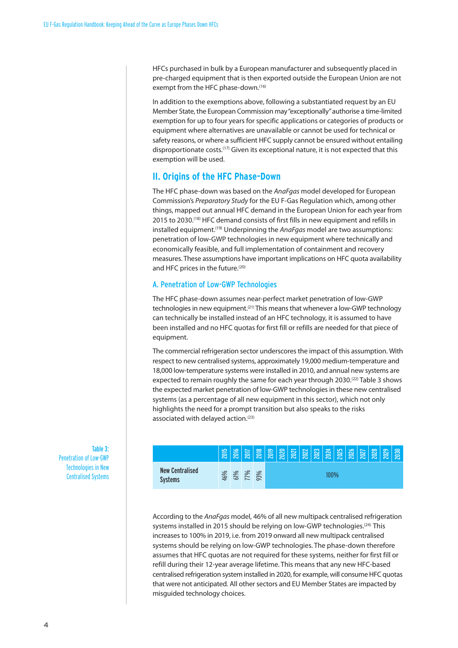HFCs purchased in bulk by a European manufacturer and subsequently placed in pre-charged equipment that is then exported outside the European Union are not exempt from the HFC phase-down. (16)

In addition to the exemptions above, following a substantiated request by an EU Member State, the European Commission may"exceptionally"authorise a time-limited exemption for up to four years for specific applications or categories of products or equipment where alternatives are unavailable or cannot be used for technical or safety reasons, or where a sufficient HFC supply cannot be ensured without entailing disproportionate costs.<sup>(17)</sup> Given its exceptional nature, it is not expected that this exemption will be used.

# **II. Origins of the HFC Phase-Down**

The HFC phase-down was based on the *AnaFgas* model developed for European Commission's *Preparatory Study* for the EU F-Gas Regulation which, among other things, mapped out annual HFC demand in the European Union for each year from 2015 to 2030. (18) HFC demand consists of first fills in new equipment and refills in installed equipment.<sup>(19)</sup> Underpinning the *AnaFgas* model are two assumptions: penetration of low-GWP technologies in new equipment where technically and economically feasible, and full implementation of containment and recovery measures. These assumptions have important implications on HFC quota availability and HFC prices in the future. (20)

#### A. Penetration of Low-GWP Technologies

The HFC phase-down assumes near-perfect market penetration of low-GWP technologies in new equipment.<sup>(21)</sup> This means that whenever a low-GWP technology can technically be installed instead of an HFC technology, it is assumed to have been installed and no HFC quotas for first fill or refills are needed for that piece of equipment.

The commercial refrigeration sector underscores the impact of this assumption. With respect to new centralised systems, approximately 19,000 medium-temperature and 18,000 low-temperature systems were installed in 2010, and annual new systems are expected to remain roughly the same for each year through 2030.<sup>(22)</sup> Table 3 shows the expected market penetration of low-GWP technologies in these new centralised systems (as a percentage of all new equipment in this sector), which not only highlights the need for a prompt transition but also speaks to the risks associated with delayed action. (23)



According to the *AnaFgas* model, 46% of all new multipack centralised refrigeration systems installed in 2015 should be relying on low-GWP technologies.<sup>(24)</sup> This increasesto 100% in 2019, i.e. from 2019 onward all new multipack centralised systems should be relying on low-GWP technologies. The phase-down therefore assumes that HFC quotas are not required for these systems, neither for first fill or refill during their 12-year average lifetime. This means that any new HFC-based centralised refrigeration system installed in 2020, for example, will consume HFC quotas that were not anticipated. All other sectors and EU Member States are impacted by misguided technology choices.

Table 3: Penetration of Low-GWP Technologies in New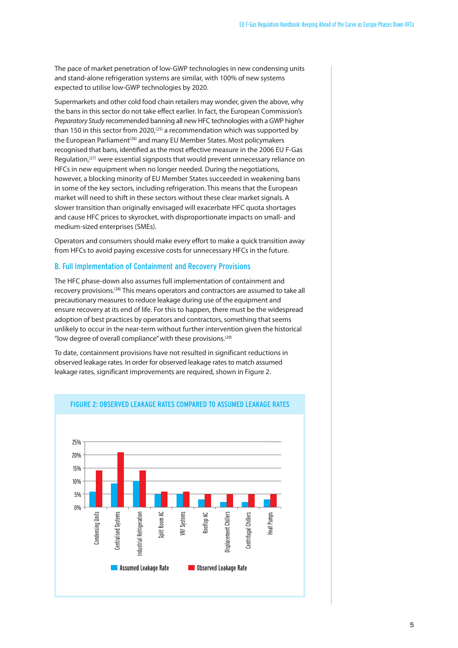The pace of market penetration of low-GWP technologies in new condensing units and stand-alone refrigeration systems are similar, with 100% of new systems expected to utilise low-GWP technologies by 2020.

Supermarkets and other cold food chain retailers may wonder, given the above, why the bans in this sector do not take effect earlier. In fact, the European Commission's *Preparatory Study* recommended banning all new HFC technologies with a GWP higher than 150 in this sector from 2020,<sup>(25)</sup> a recommendation which was supported by the European Parliament<sup>(26)</sup> and many EU Member States. Most policymakers recognised that bans, identified as the most effective measure in the 2006 EU F-Gas Regulation,<sup>(27)</sup> were essential signposts that would prevent unnecessary reliance on HFCs in new equipment when no longer needed. During the negotiations, however, a blocking minority of EU Member States succeeded in weakening bans in some of the key sectors, including refrigeration. This means that the European market will need to shift in these sectors without these clear market signals. A slower transition than originally envisaged will exacerbate HFC quota shortages and cause HFC prices to skyrocket, with disproportionate impacts on small- and medium-sized enterprises (SMEs).

Operators and consumers should make every effort to make a quick transition away from HFCs to avoid paying excessive costs for unnecessary HFCs in the future.

#### B. Full Implementation of Containment and Recovery Provisions

The HFC phase-down also assumes full implementation of containment and recovery provisions.<sup>(28)</sup> This means operators and contractors are assumed to take all precautionary measures to reduce leakage during use of the equipment and ensure recovery at its end of life. For this to happen, there must be the widespread adoption of best practices by operators and contractors, something that seems unlikely to occur in the near-term without further intervention given the historical "low degree of overall compliance" with these provisions.<sup>(29)</sup>

To date, containment provisions have not resulted in significant reductions in observed leakage rates. In order for observed leakage rates to match assumed leakage rates, significant improvements are required, shown in Figure 2.



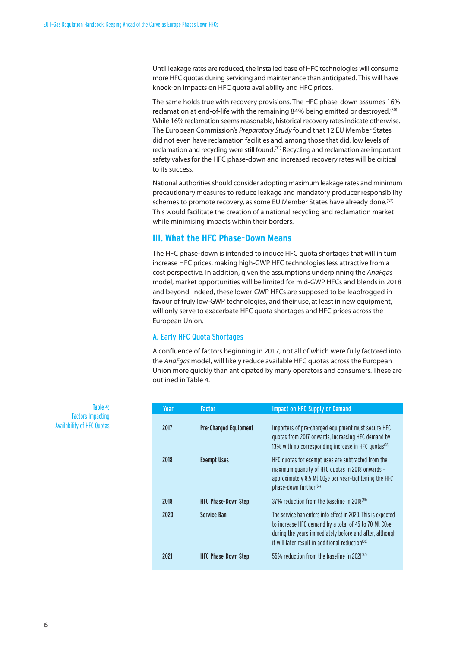Until leakage rates are reduced, the installed base of HFC technologies will consume more HFC quotas during servicing and maintenance than anticipated. This will have knock-on impacts on HFC quota availability and HFC prices.

The same holds true with recovery provisions. The HFC phase-down assumes 16% reclamation at end-of-life with the remaining 84% being emitted or destroyed.<sup>(30)</sup> While 16% reclamation seems reasonable, historical recovery rates indicate otherwise. The European Commission's *Preparatory Study* found that 12 EU Member States did not even have reclamation facilities and, among those that did, low levels of reclamation and recycling were still found.<sup>(31)</sup> Recycling and reclamation are important safety valves for the HFC phase-down and increased recovery rates will be critical to its success.

National authorities should consider adopting maximum leakage rates and minimum precautionary measures to reduce leakage and mandatory producer responsibility schemes to promote recovery, as some EU Member States have already done.<sup>(32)</sup> This would facilitate the creation of a national recycling and reclamation market while minimising impacts within their borders.

# **III. What the HFC Phase-Down Means**

The HFC phase-down is intended to induce HFC quota shortages that will in turn increase HFC prices, making high-GWP HFC technologies less attractive from a cost perspective. In addition, given the assumptions underpinning the *AnaFgas* model, market opportunities will be limited for mid-GWP HFCs and blends in 2018 and beyond. Indeed, these lower-GWP HFCs are supposed to be leapfrogged in favour of truly low-GWP technologies, and their use, at least in new equipment, will only serve to exacerbate HFC quota shortages and HFC prices across the European Union.

## A. Early HFC Quota Shortages

A confluence of factors beginning in 2017, not all of which were fully factored into the *AnaFgas* model, will likely reduce available HFC quotas across the European Union more quickly than anticipated by many operators and consumers. These are outlined in Table 4.

| Year | <b>Factor</b>                | <b>Impact on HFC Supply or Demand</b>                                                                                                                                                                                                            |
|------|------------------------------|--------------------------------------------------------------------------------------------------------------------------------------------------------------------------------------------------------------------------------------------------|
| 2017 | <b>Pre-Charged Equipment</b> | Importers of pre-charged equipment must secure HFC<br>quotas from 2017 onwards, increasing HFC demand by<br>13% with no corresponding increase in HFC quotas <sup>(33)</sup>                                                                     |
| 2018 | <b>Exempt Uses</b>           | HFC quotas for exempt uses are subtracted from the<br>maximum quantity of HFC quotas in 2018 onwards -<br>approximately 8.5 Mt CO <sub>2</sub> e per year-tightening the HFC<br>phase-down further <sup>(34)</sup>                               |
| 2018 | <b>HFC Phase-Down Step</b>   | 37% reduction from the baseline in 2018 <sup>(35)</sup>                                                                                                                                                                                          |
| 2020 | <b>Service Ban</b>           | The service ban enters into effect in 2020. This is expected<br>to increase HFC demand by a total of 45 to 70 Mt CO2e<br>during the years immediately before and after, although<br>it will later result in additional reduction <sup>(36)</sup> |
| 2021 | <b>HFC Phase-Down Step</b>   | 55% reduction from the baseline in 2021 <sup>(37)</sup>                                                                                                                                                                                          |

Table 4: Factors Impacting Availability of HFC Quotas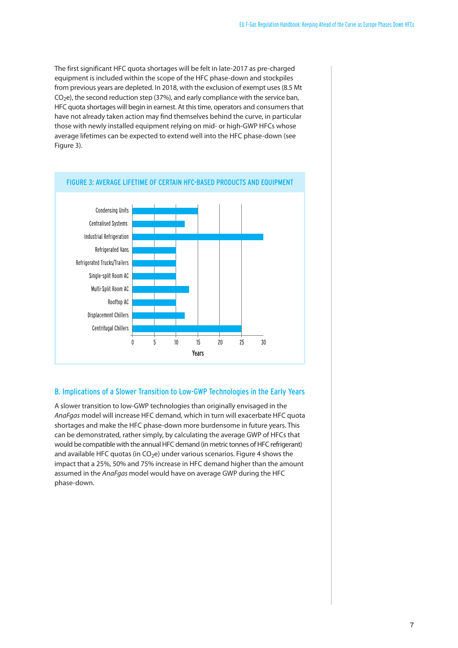The first significant HFC quota shortages will be felt in late-2017 as pre-charged equipment is included within the scope of the HFC phase-down and stockpiles from previous years are depleted. In 2018, with the exclusion of exempt uses(8.5 Mt  $CO<sub>2</sub>e$ ), the second reduction step (37%), and early compliance with the service ban, HFC quota shortages will begin in earnest. At this time, operators and consumers that have not already taken action may find themselves behind the curve, in particular those with newly installed equipment relying on mid- or high-GWP HFCs whose average lifetimes can be expected to extend well into the HFC phase-down (see Figure 3).



## B. Implications of a Slower Transition to Low-GWP Technologies in the Early Years

A slower transition to low-GWP technologies than originally envisaged in the *AnaFgas* model will increase HFC demand, which in turn will exacerbate HFC quota shortages and make the HFC phase-down more burdensome in future years. This can be demonstrated, rather simply, by calculating the average GWP of HFCs that would be compatible with the annual HFC demand (in metric tonnes of HFC refrigerant) and available HFC quotas (in  $CO<sub>2</sub>e$ ) under various scenarios. Figure 4 shows the impact that a 25%, 50% and 75% increase in HFC demand higher than the amount assumed in the *AnaFgas* model would have on average GWP during the HFC phase-down.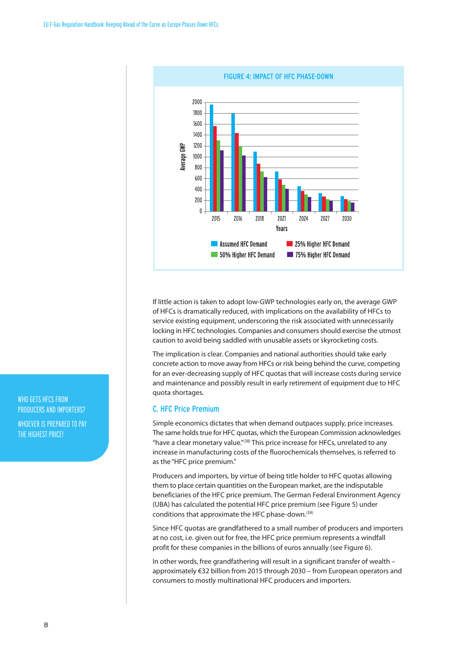

If little action is taken to adopt low-GWP technologies early on, the average GWP of HFCs is dramatically reduced, with implications on the availability of HFCs to service existing equipment, underscoring the risk associated with unnecessarily locking in HFC technologies. Companies and consumers should exercise the utmost caution to avoid being saddled with unusable assets or skyrocketing costs.

The implication is clear. Companies and national authorities should take early concrete action to move away from HFCs or risk being behind the curve, competing for an ever-decreasing supply of HFC quotas that will increase costs during service and maintenance and possibly result in early retirement of equipment due to HFC quota shortages.

#### C. HFC Price Premium

Simple economics dictates that when demand outpaces supply, price increases. The same holds true for HFC quotas, which the European Commission acknowledges "have a clear monetary value."(38) This price increase for HFCs, unrelated to any increase in manufacturing costs of the fluorochemicals themselves, is referred to as the "HFC price premium."

Producers and importers, by virtue of being title holder to HFC quotas allowing them to place certain quantities on the European market, are the indisputable beneficiaries of the HFC price premium. The German Federal Environment Agency (UBA) has calculated the potential HFC price premium (see Figure 5) under conditions that approximate the HFC phase-down.<sup>(39)</sup>

Since HFC quotas are grandfathered to a small number of producers and importers at no cost, i.e. given out for free, the HFC price premium represents a windfall profit for these companies in the billions of euros annually (see Figure 6).

In other words, free grandfathering will result in a significant transfer of wealth – approximately €32 billion from 2015 through 2030 – from European operators and consumers to mostly multinational HFC producers and importers.

WHO GETS HFCS FROM PRODUCERS AND IMPORTERS? WHOEVER IS PREPARED TO PAY THE HIGHEST PRICE!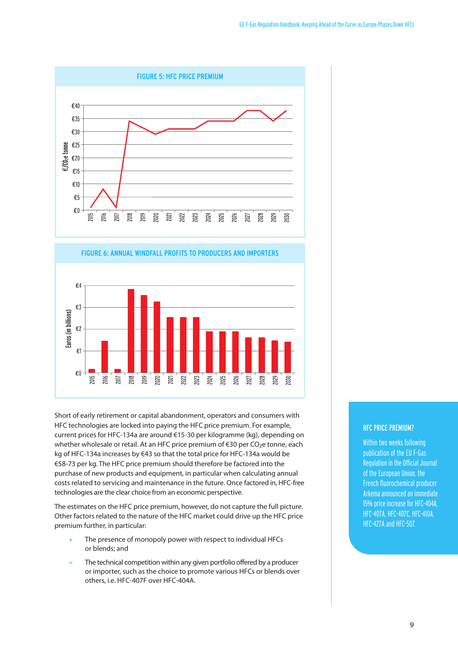



Short of early retirement or capital abandonment, operators and consumers with HFC technologies are locked into paying the HFC price premium. For example, current prices for HFC-134a are around €15-30 per kilogramme (kg), depending on whether wholesale or retail. At an HFC price premium of  $\epsilon$ 30 per CO<sub>2</sub>e tonne, each kg of HFC-134a increases by €43 so that the total price for HFC-134a would be €58-73 per kg. The HFC price premium should therefore be factored into the purchase of new products and equipment, in particular when calculating annual costs related to servicing and maintenance in the future. Once factored in, HFC-free technologies are the clear choice from an economic perspective.

The estimates on the HFC price premium, however, do not capture the full picture. Other factors related to the nature of the HFC market could drive up the HFC price premium further, in particular:

- The presence of monopoly power with respect to individual HFCs or blends; and
- The technical competition within any given portfolio offered by a producer or importer, such as the choice to promote various HFCs or blends over others, i.e. HFC-407F over HFC-404A.

# HFC PRICE PREMIUM?

Within two weeks following publication of the EUF-Gas Regulation in the Official Journal of the European Union, the French fluorochemical producer Arkema announced an immediate 15% price increase for HFC-404A, HFC-407A,HFC-407C,HFC-410A, HFC-427A and HFC-507.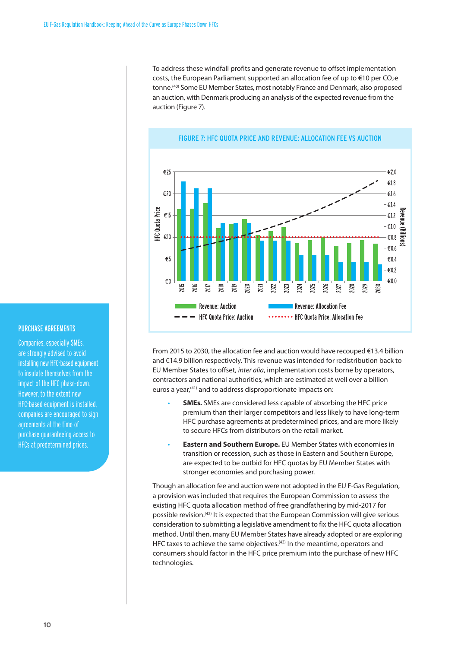To address these windfall profits and generate revenue to offset implementation costs, the European Parliament supported an allocation fee of up to  $\epsilon$ 10 per CO<sub>2</sub>e tonne. (40) Some EU Member States, most notably France and Denmark, also proposed an auction, with Denmark producing an analysis of the expected revenue from the auction (Figure 7).



#### FIGURE 7: HFC QUOTA PRICE AND REVENUE: ALLOCATION FEE VS AUCTION

From 2015 to 2030, the allocation fee and auction would have recouped €13.4 billion and €14.9 billion respectively. This revenue was intended for redistribution back to EU Member States to offset, *inter alia*, implementation costs borne by operators, contractors and national authorities, which are estimated at well over a billion euros a year, (41) and to address disproportionate impacts on:

- **SMEs.** SMEs are considered less capable of absorbing the HFC price premium than their larger competitors and less likely to have long-term HFC purchase agreements at predetermined prices, and are more likely to secure HFCs from distributors on the retail market.
- **Eastern and Southern Europe.** EU Member States with economies in transition or recession, such as those in Eastern and Southern Europe, are expected to be outbid for HFC quotas by EU Member States with stronger economies and purchasing power.

Though an allocation fee and auction were not adopted in the EU F-Gas Regulation, a provision was included that requires the European Commission to assess the existing HFC quota allocation method of free grandfathering by mid-2017 for possible revision. (42) It is expected that the European Commission will give serious consideration to submitting a legislative amendment to fix the HFC quota allocation method. Until then, many EU Member States have already adopted or are exploring HFC taxes to achieve the same objectives.<sup>(43)</sup> In the meantime, operators and consumers should factor in the HFC price premium into the purchase of new HFC technologies.

#### PURCHASE AGREEMENTS

Companies, especially SMEs, are strongly advised to avoid installing new HFC-based equipment to insulate themselves from the impact of the HFC phase-down. However, to the extent new HFC-based equipment is installed, companies are encouraged to sign agreements at the time of purchase guaranteeing access to HFCs at predetermined prices.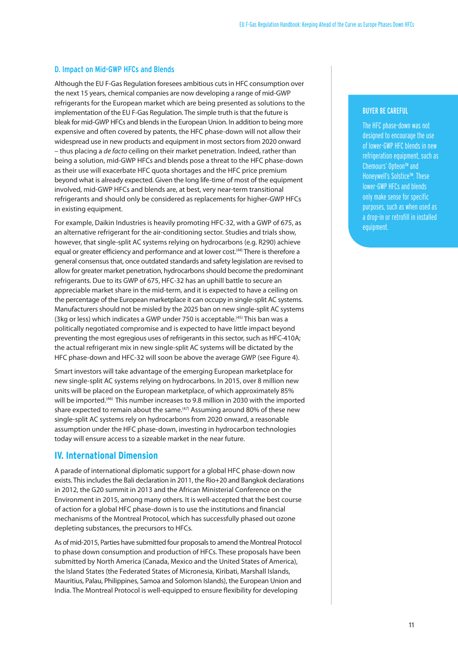#### D. Impact on Mid-GWP HFCs and Blends

Although the EU F-Gas Regulation foresees ambitious cutsin HFC consumption over the next 15 years, chemical companies are now developing a range of mid-GWP refrigerants for the European market which are being presented as solutions to the implementation of the EU F-Gas Regulation. The simple truth is that the future is bleak for mid-GWP HFCs and blends in the European Union. In addition to being more expensive and often covered by patents, the HFC phase-down will not allow their widespread use in new products and equipment in most sectors from 2020 onward – thus placing a *de facto* ceiling on their market penetration. Indeed, rather than being a solution, mid-GWP HFCs and blends pose a threat to the HFC phase-down as their use will exacerbate HFC quota shortages and the HFC price premium beyond what is already expected. Given the long life-time of most of the equipment involved, mid-GWP HFCs and blends are, at best, very near-term transitional refrigerants and should only be considered as replacements for higher-GWP HFCs in existing equipment.

For example, Daikin Industries is heavily promoting HFC-32, with a GWP of 675, as an alternative refrigerant for the air-conditioning sector. Studies and trials show, however, that single-split AC systems relying on hydrocarbons (e.g. R290) achieve equal or greater efficiency and performance and at lower cost.<sup>(44)</sup> There is therefore a general consensusthat, once outdated standards and safety legislation are revised to allow for greater market penetration, hydrocarbons should become the predominant refrigerants. Due to its GWP of 675, HFC-32 has an uphill battle to secure an appreciable market share in the mid-term, and it is expected to have a ceiling on the percentage of the European marketplace it can occupy in single-split AC systems. Manufacturersshould not be misled by the 2025 ban on new single-split AC systems (3kg or less) which indicates a GWP under 750 is acceptable.<sup>(45)</sup> This ban was a politically negotiated compromise and is expected to have little impact beyond preventing the most egregious uses of refrigerants in this sector, such as HFC-410A; the actual refrigerant mix in new single-split AC systems will be dictated by the HFC phase-down and HFC-32 will soon be above the average GWP (see Figure 4).

Smart investors will take advantage of the emerging European marketplace for new single-split AC systems relying on hydrocarbons. In 2015, over 8 million new units will be placed on the European marketplace, of which approximately 85% will be imported. (46) This number increases to 9.8 million in 2030 with the imported share expected to remain about the same.<sup>(47)</sup> Assuming around 80% of these new single-split AC systems rely on hydrocarbons from 2020 onward, a reasonable assumption under the HFC phase-down, investing in hydrocarbon technologies today will ensure access to a sizeable market in the near future.

## **IV. International Dimension**

A parade of international diplomatic support for a global HFC phase-down now exists. This includes the Bali declaration in 2011, the Rio+20 and Bangkok declarations in 2012, the G20 summit in 2013 and the African Ministerial Conference on the Environment in 2015, among many others. It is well-accepted that the best course of action for a global HFC phase-down is to use the institutions and financial mechanisms of the Montreal Protocol, which has successfully phased out ozone depleting substances, the precursors to HFCs.

As of mid-2015, Parties have submitted four proposals to amend the Montreal Protocol to phase down consumption and production of HFCs. These proposals have been submitted by North America (Canada, Mexico and the United States of America), the Island States (the Federated States of Micronesia, Kiribati, Marshall Islands, Mauritius, Palau, Philippines, Samoa and Solomon Islands), the European Union and India. The Montreal Protocol is well-equipped to ensure flexibility for developing

#### **BUYER BE CAREFUL**

The HFC phase-down was not designed to encourage the use of lower-GWP HFC blends in new refrigeration equipment, such as Chemours'Opteon™ and Honeywell's Solstice™. These lower-GWP HFCs and blends only make sense for specific purposes, such as when used as a drop-in or retrofill in installed equipment.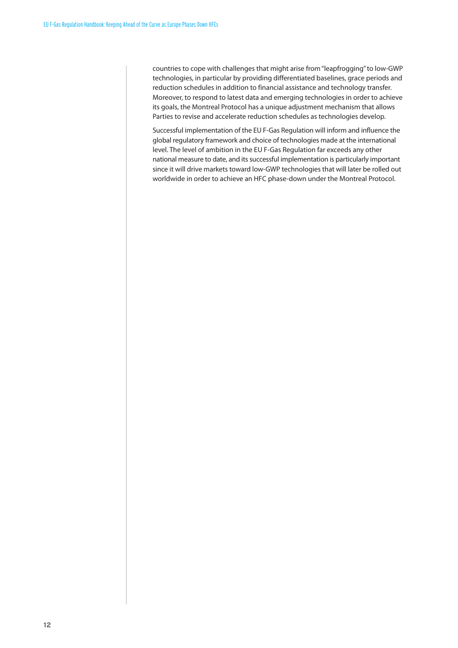countries to cope with challenges that might arise from"leapfrogging"to low-GWP technologies, in particular by providing differentiated baselines, grace periods and reduction schedules in addition to financial assistance and technology transfer. Moreover, to respond to latest data and emerging technologies in order to achieve its goals, the Montreal Protocol has a unique adjustment mechanism that allows Parties to revise and accelerate reduction schedules as technologies develop.

Successful implementation of the EU F-Gas Regulation will inform and influence the global regulatory framework and choice of technologies made at the international level. The level of ambition in the EU F-Gas Regulation far exceeds any other national measure to date, and its successful implementation is particularly important since it will drive markets toward low-GWP technologies that will later be rolled out worldwide in order to achieve an HFC phase-down under the Montreal Protocol.